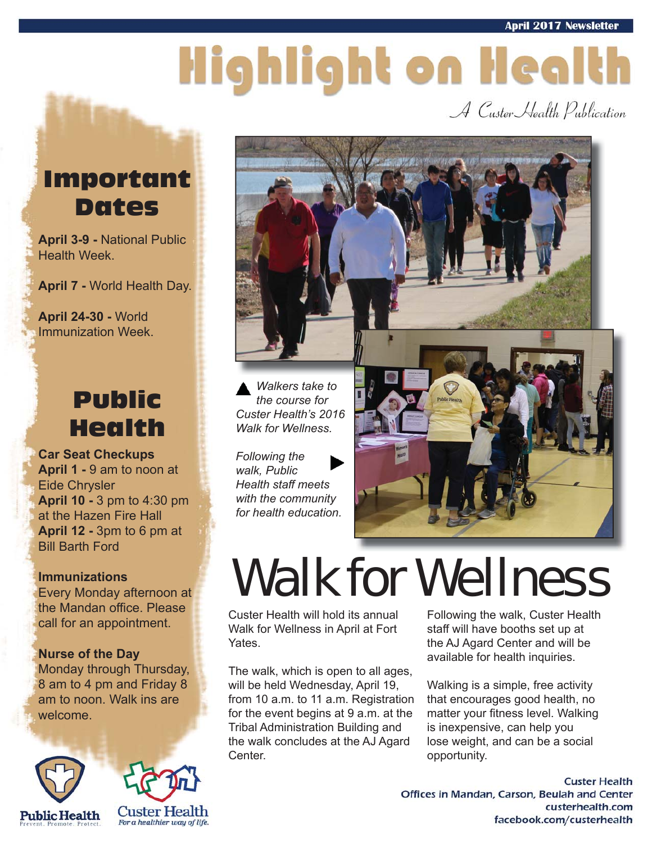# Highlight on Health

A Custer Health Publication

### Important Dates

**April 3-9 -** National Public Health Week.

**April 7 -** World Health Day.

**April 24-30 -** World Immunization Week.

### Public Health

**Car Seat Checkups April 1 -** 9 am to noon at Eide Chrysler **April 10 -** 3 pm to 4:30 pm at the Hazen Fire Hall **April 12 -** 3pm to 6 pm at Bill Barth Ford

#### **Immunizations**

Every Monday afternoon at the Mandan office. Please call for an appointment.

#### **Nurse of the Day**

Monday through Thursday, 8 am to 4 pm and Friday 8 am to noon. Walk ins are welcome.







*the course for Custer Health's 2016 Walk for Wellness.* 

*Following the walk, Public Health staff meets with the community for health education.*



## Walk for Wellness

Custer Health will hold its annual Walk for Wellness in April at Fort Yates.

The walk, which is open to all ages, will be held Wednesday, April 19, from 10 a.m. to 11 a.m. Registration for the event begins at 9 a.m. at the Tribal Administration Building and the walk concludes at the AJ Agard Center.

Following the walk, Custer Health staff will have booths set up at the AJ Agard Center and will be available for health inquiries.

Walking is a simple, free activity that encourages good health, no matter your fitness level. Walking is inexpensive, can help you lose weight, and can be a social opportunity.

**Custer Health** Offices in Mandan, Carson, Beulah and Center custerhealth.com facebook.com/custerhealth